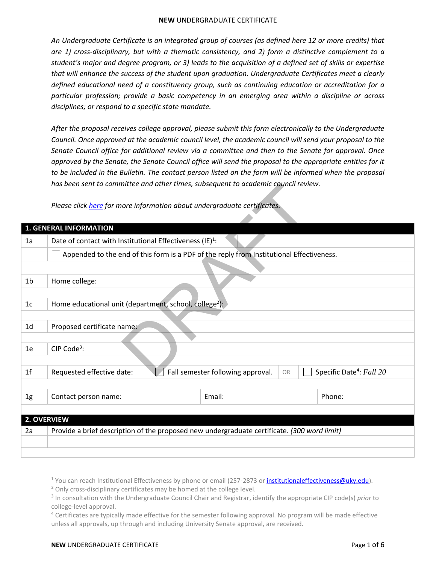*An Undergraduate Certificate is an integrated group of courses (as defined here 12 or more credits) that are 1) cross-disciplinary, but with a thematic consistency, and 2) form a distinctive complement to a student's major and degree program, or 3) leads to the acquisition of a defined set of skills or expertise that will enhance the success of the student upon graduation. Undergraduate Certificates meet a clearly defined educational need of a constituency group, such as continuing education or accreditation for a particular profession; provide a basic competency in an emerging area within a discipline or across disciplines; or respond to a specific state mandate.* 

*After the proposal receives college approval, please submit this form electronically to the Undergraduate Council. Once approved at the academic council level, the academic council will send your proposal to the Senate Council office for additional review via a committee and then to the Senate for approval. Once approved by the Senate, the Senate Council office will send the proposal to the appropriate entities for it to be included in the Bulletin. The contact person listed on the form will be informed when the proposal has been sent to committee and other times, subsequent to academic council review.* 

|                | nas been sent to committee and other times, subsequent to academic council review.          |                                         |                                      |  |
|----------------|---------------------------------------------------------------------------------------------|-----------------------------------------|--------------------------------------|--|
|                | Please click here for more information about undergraduate certificates.                    |                                         |                                      |  |
|                |                                                                                             |                                         |                                      |  |
|                | 1. GENERAL INFORMATION                                                                      |                                         |                                      |  |
| 1a             | Date of contact with Institutional Effectiveness $(IE)^1$ :                                 |                                         |                                      |  |
|                | Appended to the end of this form is a PDF of the reply from Institutional Effectiveness.    |                                         |                                      |  |
|                |                                                                                             |                                         |                                      |  |
| 1 <sub>b</sub> | Home college:                                                                               |                                         |                                      |  |
|                |                                                                                             |                                         |                                      |  |
| 1 <sub>c</sub> | Home educational unit (department, school, college <sup>2</sup> ):                          |                                         |                                      |  |
|                |                                                                                             |                                         |                                      |  |
| 1 <sub>d</sub> | Proposed certificate name:                                                                  |                                         |                                      |  |
|                |                                                                                             |                                         |                                      |  |
| 1e             | CIP Code <sup>3</sup> :                                                                     |                                         |                                      |  |
|                |                                                                                             |                                         |                                      |  |
| 1 <sup>f</sup> | Requested effective date:                                                                   | Fall semester following approval.<br>OR | Specific Date <sup>4</sup> : Fall 20 |  |
|                |                                                                                             |                                         |                                      |  |
| 1 <sub>g</sub> | Contact person name:                                                                        | Email:                                  | Phone:                               |  |
|                |                                                                                             |                                         |                                      |  |
|                | 2. OVERVIEW                                                                                 |                                         |                                      |  |
| 2a             | Provide a brief description of the proposed new undergraduate certificate. (300 word limit) |                                         |                                      |  |
|                |                                                                                             |                                         |                                      |  |
|                |                                                                                             |                                         |                                      |  |

## **NEW UNDERGRADUATE CERTIFICATE Page 1 of 6**

 $\overline{\phantom{a}}$ 

<sup>&</sup>lt;sup>1</sup> You can reach Institutional Effectiveness by phone or email (257-2873 or <u>institutionaleffectiveness@uky.edu</u>).

<sup>&</sup>lt;sup>2</sup> Only cross-disciplinary certificates may be homed at the college level.

<sup>3</sup> In consultation with the Undergraduate Council Chair and Registrar, identify the appropriate CIP code(s) *prior* to college-level approval.

<sup>&</sup>lt;sup>4</sup> Certificates are typically made effective for the semester following approval. No program will be made effective unless all approvals, up through and including University Senate approval, are received.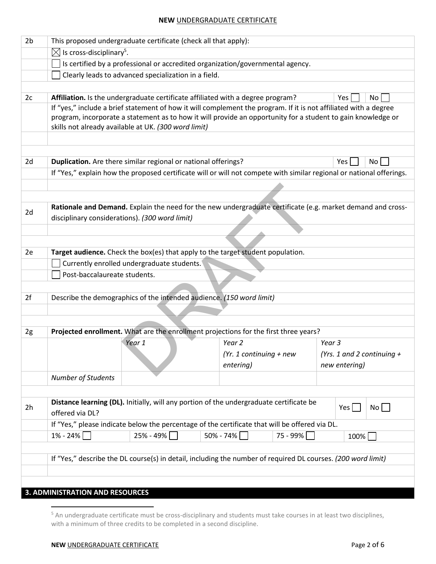| 2 <sub>b</sub> |                                                                                | This proposed undergraduate certificate (check all that apply):                                              |                           |          |                                                                                                                      |
|----------------|--------------------------------------------------------------------------------|--------------------------------------------------------------------------------------------------------------|---------------------------|----------|----------------------------------------------------------------------------------------------------------------------|
|                | $\boxtimes$ Is cross-disciplinary <sup>5</sup> .                               |                                                                                                              |                           |          |                                                                                                                      |
|                | Is certified by a professional or accredited organization/governmental agency. |                                                                                                              |                           |          |                                                                                                                      |
|                |                                                                                | Clearly leads to advanced specialization in a field.                                                         |                           |          |                                                                                                                      |
|                |                                                                                |                                                                                                              |                           |          |                                                                                                                      |
| 2c             |                                                                                | Affiliation. Is the undergraduate certificate affiliated with a degree program?                              |                           |          | No<br>Yes                                                                                                            |
|                |                                                                                |                                                                                                              |                           |          | If "yes," include a brief statement of how it will complement the program. If it is not affiliated with a degree     |
|                |                                                                                | skills not already available at UK. (300 word limit)                                                         |                           |          | program, incorporate a statement as to how it will provide an opportunity for a student to gain knowledge or         |
|                |                                                                                |                                                                                                              |                           |          |                                                                                                                      |
|                |                                                                                |                                                                                                              |                           |          |                                                                                                                      |
| 2d             |                                                                                | Duplication. Are there similar regional or national offerings?                                               |                           |          | Yes  <br>No                                                                                                          |
|                |                                                                                |                                                                                                              |                           |          | If "Yes," explain how the proposed certificate will or will not compete with similar regional or national offerings. |
|                |                                                                                |                                                                                                              |                           |          |                                                                                                                      |
|                |                                                                                |                                                                                                              |                           |          |                                                                                                                      |
|                |                                                                                |                                                                                                              |                           |          | Rationale and Demand. Explain the need for the new undergraduate certificate (e.g. market demand and cross-          |
| 2d             |                                                                                | disciplinary considerations). (300 word limit)                                                               |                           |          |                                                                                                                      |
|                |                                                                                |                                                                                                              |                           |          |                                                                                                                      |
|                |                                                                                |                                                                                                              |                           |          |                                                                                                                      |
| 2e             |                                                                                | Target audience. Check the box(es) that apply to the target student population.                              |                           |          |                                                                                                                      |
|                |                                                                                | Currently enrolled undergraduate students.                                                                   |                           |          |                                                                                                                      |
|                | Post-baccalaureate students.                                                   |                                                                                                              |                           |          |                                                                                                                      |
|                |                                                                                |                                                                                                              |                           |          |                                                                                                                      |
| 2f             |                                                                                | Describe the demographics of the intended audience. (150 word limit)                                         |                           |          |                                                                                                                      |
|                |                                                                                |                                                                                                              |                           |          |                                                                                                                      |
|                |                                                                                |                                                                                                              |                           |          |                                                                                                                      |
| 2g             |                                                                                | Projected enrollment. What are the enrollment projections for the first three years?                         |                           |          |                                                                                                                      |
|                |                                                                                | Year 1                                                                                                       | Year <sub>2</sub>         |          | Year 3                                                                                                               |
|                |                                                                                |                                                                                                              | $(Yr. 1$ continuing + new |          | (Yrs. 1 and 2 continuing +                                                                                           |
|                |                                                                                |                                                                                                              | entering)                 |          | new entering)                                                                                                        |
|                | Number of Students                                                             |                                                                                                              |                           |          |                                                                                                                      |
|                |                                                                                |                                                                                                              |                           |          |                                                                                                                      |
|                |                                                                                | Distance learning (DL). Initially, will any portion of the undergraduate certificate be                      |                           |          | No<br>Yes                                                                                                            |
| 2h             | offered via DL?                                                                |                                                                                                              |                           |          |                                                                                                                      |
|                |                                                                                | If "Yes," please indicate below the percentage of the certificate that will be offered via DL.               |                           |          |                                                                                                                      |
|                | $1\% - 24\%$                                                                   | 25% - 49%                                                                                                    | $50\% - 74\%$             | 75 - 99% | 100%                                                                                                                 |
|                |                                                                                |                                                                                                              |                           |          |                                                                                                                      |
|                |                                                                                | If "Yes," describe the DL course(s) in detail, including the number of required DL courses. (200 word limit) |                           |          |                                                                                                                      |
|                |                                                                                |                                                                                                              |                           |          |                                                                                                                      |
|                |                                                                                |                                                                                                              |                           |          |                                                                                                                      |
|                | <b>3. ADMINISTRATION AND RESOURCES</b>                                         |                                                                                                              |                           |          |                                                                                                                      |

 5 An undergraduate certificate must be cross-disciplinary and students must take courses in at least two disciplines, with a minimum of three credits to be completed in a second discipline.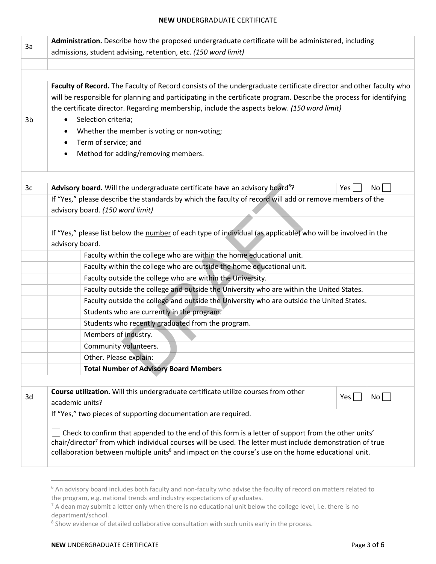| 3a | Administration. Describe how the proposed undergraduate certificate will be administered, including                   |            |      |
|----|-----------------------------------------------------------------------------------------------------------------------|------------|------|
|    | admissions, student advising, retention, etc. (150 word limit)                                                        |            |      |
|    |                                                                                                                       |            |      |
|    |                                                                                                                       |            |      |
|    | Faculty of Record. The Faculty of Record consists of the undergraduate certificate director and other faculty who     |            |      |
|    | will be responsible for planning and participating in the certificate program. Describe the process for identifying   |            |      |
|    | the certificate director. Regarding membership, include the aspects below. (150 word limit)                           |            |      |
| 3b | Selection criteria;<br>$\bullet$                                                                                      |            |      |
|    | Whether the member is voting or non-voting;<br>٠                                                                      |            |      |
|    | Term of service; and                                                                                                  |            |      |
|    | Method for adding/removing members.<br>$\bullet$                                                                      |            |      |
|    |                                                                                                                       |            |      |
| 3c | Advisory board. Will the undergraduate certificate have an advisory board <sup>6</sup> ?                              | Yes        | No   |
|    | If "Yes," please describe the standards by which the faculty of record will add or remove members of the              |            |      |
|    | advisory board. (150 word limit)                                                                                      |            |      |
|    |                                                                                                                       |            |      |
|    | If "Yes," please list below the number of each type of individual (as applicable) who will be involved in the         |            |      |
|    | advisory board.                                                                                                       |            |      |
|    | Faculty within the college who are within the home educational unit.                                                  |            |      |
|    | Faculty within the college who are outside the home educational unit.                                                 |            |      |
|    | Faculty outside the college who are within the University.                                                            |            |      |
|    | Faculty outside the college and outside the University who are within the United States.                              |            |      |
|    | Faculty outside the college and outside the University who are outside the United States.                             |            |      |
|    | Students who are currently in the program.                                                                            |            |      |
|    | Students who recently graduated from the program.                                                                     |            |      |
|    | Members of industry.                                                                                                  |            |      |
|    | Community volunteers.                                                                                                 |            |      |
|    | Other. Please explain:                                                                                                |            |      |
|    | <b>Total Number of Advisory Board Members</b>                                                                         |            |      |
|    |                                                                                                                       |            |      |
| 3d | Course utilization. Will this undergraduate certificate utilize courses from other                                    | $Yes \mid$ | $No$ |
|    | academic units?                                                                                                       |            |      |
|    | If "Yes," two pieces of supporting documentation are required.                                                        |            |      |
|    | Check to confirm that appended to the end of this form is a letter of support from the other units'                   |            |      |
|    | chair/director <sup>7</sup> from which individual courses will be used. The letter must include demonstration of true |            |      |
|    | collaboration between multiple units <sup>8</sup> and impact on the course's use on the home educational unit.        |            |      |
|    |                                                                                                                       |            |      |

 6 An advisory board includes both faculty and non-faculty who advise the faculty of record on matters related to the program, e.g. national trends and industry expectations of graduates.

 $^7$  A dean may submit a letter only when there is no educational unit below the college level, i.e. there is no department/school.

<sup>&</sup>lt;sup>8</sup> Show evidence of detailed collaborative consultation with such units early in the process.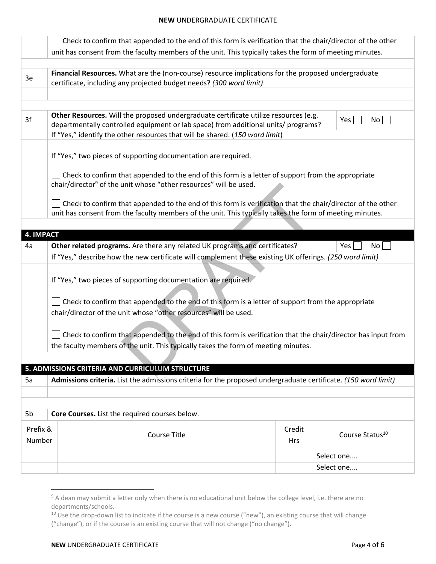|                  | Check to confirm that appended to the end of this form is verification that the chair/director of the other                                                                |            |                             |
|------------------|----------------------------------------------------------------------------------------------------------------------------------------------------------------------------|------------|-----------------------------|
|                  | unit has consent from the faculty members of the unit. This typically takes the form of meeting minutes.                                                                   |            |                             |
|                  |                                                                                                                                                                            |            |                             |
| 3e               | Financial Resources. What are the (non-course) resource implications for the proposed undergraduate<br>certificate, including any projected budget needs? (300 word limit) |            |                             |
|                  |                                                                                                                                                                            |            |                             |
|                  |                                                                                                                                                                            |            |                             |
|                  | Other Resources. Will the proposed undergraduate certificate utilize resources (e.g.                                                                                       |            |                             |
| 3f               | departmentally controlled equipment or lab space) from additional units/ programs?                                                                                         |            | No<br>Yes <sub>l</sub>      |
|                  | If "Yes," identify the other resources that will be shared. (150 word limit)                                                                                               |            |                             |
|                  |                                                                                                                                                                            |            |                             |
|                  | If "Yes," two pieces of supporting documentation are required.                                                                                                             |            |                             |
|                  | Check to confirm that appended to the end of this form is a letter of support from the appropriate                                                                         |            |                             |
|                  | chair/director <sup>9</sup> of the unit whose "other resources" will be used.                                                                                              |            |                             |
|                  |                                                                                                                                                                            |            |                             |
|                  | Check to confirm that appended to the end of this form is verification that the chair/director of the other                                                                |            |                             |
|                  | unit has consent from the faculty members of the unit. This typically takes the form of meeting minutes.                                                                   |            |                             |
| <b>4. IMPACT</b> |                                                                                                                                                                            |            |                             |
| 4a               | Other related programs. Are there any related UK programs and certificates?                                                                                                |            | Yes<br>No                   |
|                  | If "Yes," describe how the new certificate will complement these existing UK offerings. (250 word limit)                                                                   |            |                             |
|                  |                                                                                                                                                                            |            |                             |
|                  | If "Yes," two pieces of supporting documentation are required.                                                                                                             |            |                             |
|                  |                                                                                                                                                                            |            |                             |
|                  | Check to confirm that appended to the end of this form is a letter of support from the appropriate                                                                         |            |                             |
|                  | chair/director of the unit whose "other resources" will be used.                                                                                                           |            |                             |
|                  |                                                                                                                                                                            |            |                             |
|                  | Check to confirm that appended to the end of this form is verification that the chair/director has input from                                                              |            |                             |
|                  | the faculty members of the unit. This typically takes the form of meeting minutes.                                                                                         |            |                             |
|                  |                                                                                                                                                                            |            |                             |
|                  | 5. ADMISSIONS CRITERIA AND CURRICULUM STRUCTURE                                                                                                                            |            |                             |
| 5a               | Admissions criteria. List the admissions criteria for the proposed undergraduate certificate. (150 word limit)                                                             |            |                             |
|                  |                                                                                                                                                                            |            |                             |
|                  |                                                                                                                                                                            |            |                             |
| 5 <sub>b</sub>   | Core Courses. List the required courses below.                                                                                                                             |            |                             |
| Prefix &         |                                                                                                                                                                            | Credit     |                             |
| Number           | <b>Course Title</b>                                                                                                                                                        | <b>Hrs</b> | Course Status <sup>10</sup> |
|                  |                                                                                                                                                                            |            |                             |
|                  |                                                                                                                                                                            |            | Select one                  |
|                  |                                                                                                                                                                            |            | Select one                  |

 $\overline{\phantom{a}}$ <sup>9</sup> A dean may submit a letter only when there is no educational unit below the college level, i.e. there are no departments/schools.

<sup>&</sup>lt;sup>10</sup> Use the drop-down list to indicate if the course is a new course ("new"), an existing course that will change ("change"), or if the course is an existing course that will not change ("no change").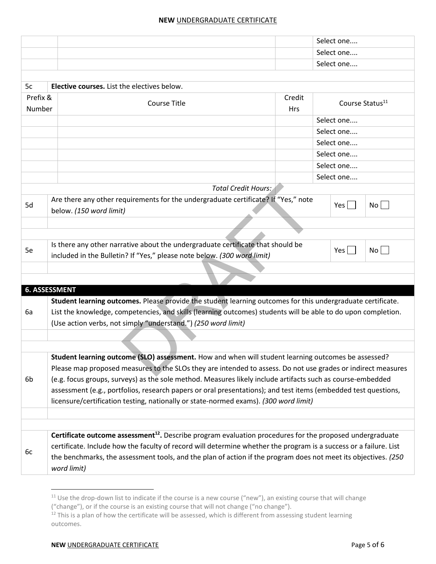|                    |                                                                                                                                                                                                                              |                      | Select one                  |    |  |  |
|--------------------|------------------------------------------------------------------------------------------------------------------------------------------------------------------------------------------------------------------------------|----------------------|-----------------------------|----|--|--|
|                    |                                                                                                                                                                                                                              |                      | Select one                  |    |  |  |
|                    |                                                                                                                                                                                                                              |                      | Select one                  |    |  |  |
|                    |                                                                                                                                                                                                                              |                      |                             |    |  |  |
| 5c                 | <b>Elective courses.</b> List the electives below.                                                                                                                                                                           |                      |                             |    |  |  |
| Prefix &<br>Number | <b>Course Title</b>                                                                                                                                                                                                          | Credit<br><b>Hrs</b> | Course Status <sup>11</sup> |    |  |  |
|                    |                                                                                                                                                                                                                              |                      | Select one                  |    |  |  |
|                    |                                                                                                                                                                                                                              |                      | Select one                  |    |  |  |
|                    |                                                                                                                                                                                                                              |                      | Select one                  |    |  |  |
|                    |                                                                                                                                                                                                                              |                      | Select one                  |    |  |  |
|                    |                                                                                                                                                                                                                              |                      | Select one                  |    |  |  |
|                    |                                                                                                                                                                                                                              |                      | Select one                  |    |  |  |
|                    |                                                                                                                                                                                                                              | Total Credit Hours:  |                             |    |  |  |
| 5d                 | Are there any other requirements for the undergraduate certificate? If "Yes," note<br>below. (150 word limit)                                                                                                                |                      | Yes                         | No |  |  |
|                    |                                                                                                                                                                                                                              |                      |                             |    |  |  |
|                    |                                                                                                                                                                                                                              |                      |                             |    |  |  |
| 5e                 | Is there any other narrative about the undergraduate certificate that should be<br>included in the Bulletin? If "Yes," please note below. (300 word limit)                                                                   |                      | Yes                         | No |  |  |
|                    |                                                                                                                                                                                                                              |                      |                             |    |  |  |
|                    |                                                                                                                                                                                                                              |                      |                             |    |  |  |
|                    | <b>6. ASSESSMENT</b>                                                                                                                                                                                                         |                      |                             |    |  |  |
|                    | Student learning outcomes. Please provide the student learning outcomes for this undergraduate certificate.                                                                                                                  |                      |                             |    |  |  |
| 6a                 | List the knowledge, competencies, and skills (learning outcomes) students will be able to do upon completion.                                                                                                                |                      |                             |    |  |  |
|                    | (Use action verbs, not simply "understand.") (250 word limit)                                                                                                                                                                |                      |                             |    |  |  |
|                    |                                                                                                                                                                                                                              |                      |                             |    |  |  |
|                    |                                                                                                                                                                                                                              |                      |                             |    |  |  |
|                    | Student learning outcome (SLO) assessment. How and when will student learning outcomes be assessed?                                                                                                                          |                      |                             |    |  |  |
|                    | Please map proposed measures to the SLOs they are intended to assess. Do not use grades or indirect measures                                                                                                                 |                      |                             |    |  |  |
| 6b                 | (e.g. focus groups, surveys) as the sole method. Measures likely include artifacts such as course-embedded<br>assessment (e.g., portfolios, research papers or oral presentations); and test items (embedded test questions, |                      |                             |    |  |  |
|                    |                                                                                                                                                                                                                              |                      |                             |    |  |  |
|                    | licensure/certification testing, nationally or state-normed exams). (300 word limit)                                                                                                                                         |                      |                             |    |  |  |
|                    |                                                                                                                                                                                                                              |                      |                             |    |  |  |
|                    | Certificate outcome assessment <sup>12</sup> . Describe program evaluation procedures for the proposed undergraduate                                                                                                         |                      |                             |    |  |  |
|                    | certificate. Include how the faculty of record will determine whether the program is a success or a failure. List                                                                                                            |                      |                             |    |  |  |
| 6c                 | the benchmarks, the assessment tools, and the plan of action if the program does not meet its objectives. (250<br>word limit)                                                                                                |                      |                             |    |  |  |

 $\overline{\phantom{a}}$ 

<sup>&</sup>lt;sup>11</sup> Use the drop-down list to indicate if the course is a new course ("new"), an existing course that will change

<sup>(&</sup>quot;change"), or if the course is an existing course that will not change ("no change").

 $12$  This is a plan of how the certificate will be assessed, which is different from assessing student learning outcomes.